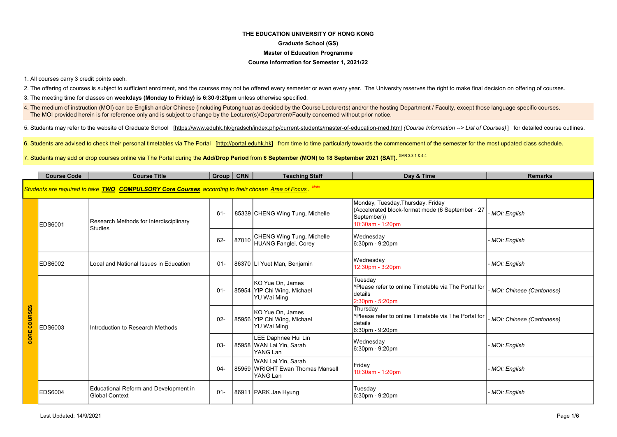# THE EDUCATION UNIVERSITY OF HONG KONG Graduate School (GS) Master of Education Programme

## Course Information for Semester 1, 2021/22

1. All courses carry 3 credit points each.

2. The offering of courses is subject to sufficient enrolment, and the courses may not be offered every semester or even every year. The University reserves the right to make final decision on offering of courses.

3. The meeting time for classes on weekdays (Monday to Friday) is 6:30-9:20pm unless otherwise specified.

4. The medium of instruction (MOI) can be English and/or Chinese (including Putonghua) as decided by the Course Lecturer(s) and/or the hosting Department / Faculty, except those language specific courses. The MOI provided herein is for reference only and is subject to change by the Lecturer(s)/Department/Faculty concerned without prior notice.

5. Students may refer to the website of Graduate School [https://www.eduhk.hk/gradsch/index.php/current-students/master-of-education-med.html (Course Information --> List of Courses)] for detailed course outlines.

6. Students are advised to check their personal timetables via The Portal [http://portal.eduhk.hk] from time to time particularly towards the commencement of the semester for the most updated class schedule.

7. Students may add or drop courses online via The Portal during the **Add/Drop Period** from **6 September (MON) to 18 September 2021 (SAT)**. <sup>GAR 3.3.1 & 4.4</sup>

|                     | <b>Course Code</b>                                                                                        | <b>Course Title</b>                                            | Group   CRN |       | <b>Teaching Staff</b>                                              | Day & Time                                                                                                               | <b>Remarks</b>           |  |  |  |
|---------------------|-----------------------------------------------------------------------------------------------------------|----------------------------------------------------------------|-------------|-------|--------------------------------------------------------------------|--------------------------------------------------------------------------------------------------------------------------|--------------------------|--|--|--|
|                     | Students are required to take <b>TWO COMPULSORY Core Courses</b> according to their chosen Area of Focus. |                                                                |             |       |                                                                    |                                                                                                                          |                          |  |  |  |
| <b>CORE COURSES</b> | EDS6001                                                                                                   | Research Methods for Interdisciplinary<br><b>Studies</b>       | 61-         |       | 85339 CHENG Wing Tung, Michelle                                    | Monday, Tuesday, Thursday, Friday<br>(Accelerated block-format mode (6 September - 27<br>September))<br>10:30am - 1:20pm | MOI: English             |  |  |  |
|                     |                                                                                                           |                                                                | $62 -$      | 87010 | CHENG Wing Tung, Michelle<br>HUANG Fanglei, Corey                  | Wednesday<br>6:30pm - 9:20pm                                                                                             | MOI: English             |  |  |  |
|                     | EDS6002                                                                                                   | Local and National Issues in Education                         | $01 -$      |       | 86370 LI Yuet Man, Benjamin                                        | Wednesday<br>12:30pm - 3:20pm                                                                                            | MOI: English             |  |  |  |
|                     | EDS6003                                                                                                   | Introduction to Research Methods                               | $01 -$      |       | KO Yue On, James<br>85954 YIP Chi Wing, Michael<br>YU Wai Ming     | Tuesday<br><sup>^</sup> Please refer to online Timetable via The Portal for<br>Idetails<br>2:30pm - 5:20pm               | MOI: Chinese (Cantonese) |  |  |  |
|                     |                                                                                                           |                                                                | $02 -$      |       | KO Yue On, James<br>85956 YIP Chi Wing, Michael<br>YU Wai Ming     | Thursday<br>^Please refer to online Timetable via The Portal for<br>Idetails<br>6:30pm - 9:20pm                          | MOI: Chinese (Cantonese) |  |  |  |
|                     |                                                                                                           |                                                                | $03-$       |       | LEE Daphnee Hui Lin<br>85958 WAN Lai Yin, Sarah<br>YANG Lan        | Wednesday<br>6:30pm - 9:20pm                                                                                             | MOI: English             |  |  |  |
|                     |                                                                                                           |                                                                | $04-$       |       | WAN Lai Yin, Sarah<br>85959 WRIGHT Ewan Thomas Mansell<br>YANG Lan | Friday<br>10:30am - 1:20pm                                                                                               | MOI: English             |  |  |  |
|                     | <b>EDS6004</b>                                                                                            | Educational Reform and Development in<br><b>Global Context</b> | $01 -$      |       | 86911 PARK Jae Hyung                                               | Tuesday<br>6:30pm - 9:20pm                                                                                               | MOI: English             |  |  |  |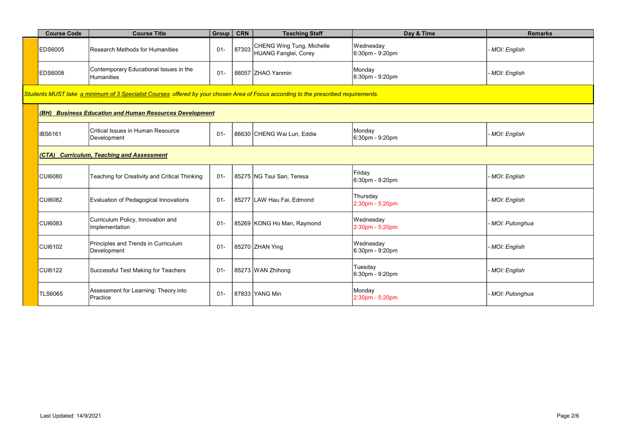| <b>Course Code</b>                                                                                                                  | <b>Course Title</b>                                     | Group  | <b>CRN</b> | <b>Teaching Staff</b>                             | Day & Time                   | <b>Remarks</b> |  |  |  |
|-------------------------------------------------------------------------------------------------------------------------------------|---------------------------------------------------------|--------|------------|---------------------------------------------------|------------------------------|----------------|--|--|--|
| <b>EDS6005</b>                                                                                                                      | Research Methods for Humanities                         | $01 -$ | 87303      | CHENG Wing Tung, Michelle<br>HUANG Fanglei, Corey | Wednesday<br>6:30pm - 9:20pm | MOI: English   |  |  |  |
| <b>EDS6008</b>                                                                                                                      | Contemporary Educational Issues in the<br>Humanities    | $01 -$ |            | 88057 ZHAO Yanmin                                 | Monday<br>6:30pm - 9:20pm    | MOI: English   |  |  |  |
| Students MUST take a minimum of 3 Specialist Courses offered by your chosen Area of Focus according to the prescribed requirements. |                                                         |        |            |                                                   |                              |                |  |  |  |
|                                                                                                                                     | (BH) Business Education and Human Resources Development |        |            |                                                   |                              |                |  |  |  |
| <b>IBS6161</b>                                                                                                                      | Critical Issues in Human Resource<br>Development        | $01 -$ |            | 86630 CHENG Wai Lun, Eddie                        | Monday<br>6:30pm - 9:20pm    | MOI: English   |  |  |  |
|                                                                                                                                     | (CTA) Curriculum, Teaching and Assessment               |        |            |                                                   |                              |                |  |  |  |
| <b>CUI6080</b>                                                                                                                      | Teaching for Creativity and Critical Thinking           | $01 -$ |            | 85275 NG Tsui San, Teresa                         | Friday<br>6:30pm - 9:20pm    | MOI: English   |  |  |  |
| <b>CUI6082</b>                                                                                                                      | Evaluation of Pedagogical Innovations                   | $01 -$ |            | 85277 LAW Hau Fai, Edmond                         | Thursday<br>2:30pm - 5:20pm  | MOI: English   |  |  |  |
| <b>CUI6083</b>                                                                                                                      | Curriculum Policy, Innovation and<br>Implementation     | $01 -$ |            | 85269 KONG Ho Man, Raymond                        | Wednesday<br>2:30pm - 5:20pm | MOI: Putonghua |  |  |  |
| <b>CUI6102</b>                                                                                                                      | Principles and Trends in Curriculum<br>Development      | $01 -$ |            | 85270 ZHAN Ying                                   | Wednesday<br>6:30pm - 9:20pm | MOI: English   |  |  |  |
| CUI6122                                                                                                                             | Successful Test Making for Teachers                     | $01 -$ |            | 85273 WAN Zhihong                                 | Tuesday<br>6:30pm - 9:20pm   | MOI: English   |  |  |  |
| <b>TLS6065</b>                                                                                                                      | Assessment for Learning: Theory into<br>Practice        | $01 -$ |            | 87833 YANG Min                                    | Monday<br>2:30pm - 5:20pm    | MOI: Putonghua |  |  |  |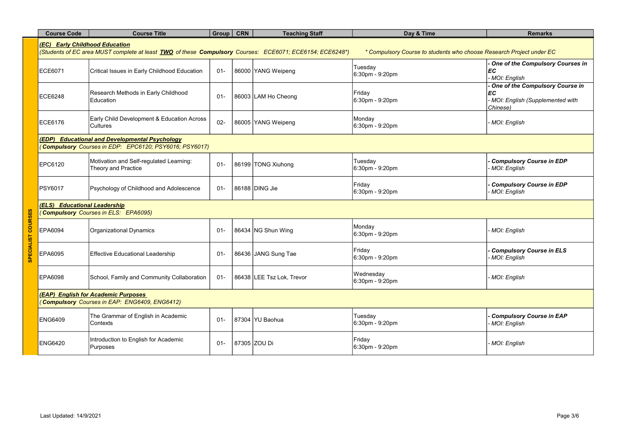| <b>Course Code</b>                                                                   | <b>Course Title</b>                                                                                      | Group CRN |  | <b>Teaching Staff</b>     | Day & Time                                                           | <b>Remarks</b>                                                                       |  |
|--------------------------------------------------------------------------------------|----------------------------------------------------------------------------------------------------------|-----------|--|---------------------------|----------------------------------------------------------------------|--------------------------------------------------------------------------------------|--|
| (EC) Early Childhood Education                                                       | (Students of EC area MUST complete at least TWO of these Compulsory Courses: ECE6071; ECE6154; ECE6248*) |           |  |                           | * Compulsory Course to students who choose Research Project under EC |                                                                                      |  |
| ECE6071                                                                              | Critical Issues in Early Childhood Education                                                             | $01 -$    |  | 86000 YANG Weipeng        | Tuesday<br>6:30pm - 9:20pm                                           | One of the Compulsory Courses in<br>EC<br>MOI: English                               |  |
| <b>ECE6248</b>                                                                       | Research Methods in Early Childhood<br>Education                                                         | $01 -$    |  | 86003 LAM Ho Cheong       | Friday<br>6:30pm - 9:20pm                                            | One of the Compulsory Course in<br>EC<br>MOI: English (Supplemented with<br>Chinese) |  |
| ECE6176                                                                              | Early Child Development & Education Across<br>Cultures                                                   | $02 -$    |  | 86005 YANG Weipeng        | Monday<br>6:30pm - 9:20pm                                            | MOI: English                                                                         |  |
|                                                                                      | (EDP) Educational and Developmental Psychology<br>(Compulsory Courses in EDP: EPC6120; PSY6016; PSY6017) |           |  |                           |                                                                      |                                                                                      |  |
| EPC6120                                                                              | Motivation and Self-regulated Learning:<br>Theory and Practice                                           | $01 -$    |  | 86199 TONG Xiuhong        | Tuesday<br>6:30pm - 9:20pm                                           | <b>Compulsory Course in EDP</b><br>MOI: English                                      |  |
| PSY6017                                                                              | Psychology of Childhood and Adolescence                                                                  | $01 -$    |  | 86188 DING Jie            | Friday<br>6:30pm - 9:20pm                                            | <b>Compulsory Course in EDP</b><br>MOI: English                                      |  |
| (ELS) Educational Leadership                                                         | (Compulsory Courses in ELS: EPA6095)                                                                     |           |  |                           |                                                                      |                                                                                      |  |
| EPA6094                                                                              | Organizational Dynamics                                                                                  | $01 -$    |  | 86434 NG Shun Wing        | Monday<br>6:30pm - 9:20pm                                            | MOI: English                                                                         |  |
| EPA6095                                                                              | <b>Effective Educational Leadership</b>                                                                  | $01 -$    |  | 86436 JANG Sung Tae       | Friday<br>6:30pm - 9:20pm                                            | <b>Compulsory Course in ELS</b><br>MOI: English                                      |  |
| EPA6098                                                                              | School, Family and Community Collaboration                                                               | $01 -$    |  | 86438 LEE Tsz Lok, Trevor | Wednesday<br>6:30pm - 9:20pm                                         | MOI: English                                                                         |  |
| (EAP) English for Academic Purposes<br>(Compulsory Courses in EAP: ENG6409, ENG6412) |                                                                                                          |           |  |                           |                                                                      |                                                                                      |  |
| <b>ENG6409</b>                                                                       | The Grammar of English in Academic<br>Contexts                                                           | $01 -$    |  | 87304 YU Baohua           | Tuesday<br>6:30pm - 9:20pm                                           | <b>Compulsory Course in EAP</b><br>MOI: English                                      |  |
| <b>ENG6420</b>                                                                       | Introduction to English for Academic<br>Purposes                                                         | $01 -$    |  | 87305 ZOU Di              | Friday<br>6:30pm - 9:20pm                                            | MOI: English                                                                         |  |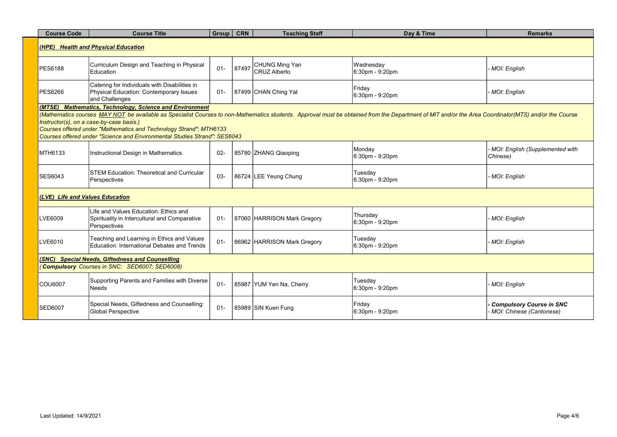| <b>Course Code</b>                                                                              | <b>Course Title</b>                                                                                                                                                                                                                                                                                                                                                                                                                                            | Group  | <b>CRN</b> | <b>Teaching Staff</b>                        | Day & Time                   | <b>Remarks</b>                                              |  |  |
|-------------------------------------------------------------------------------------------------|----------------------------------------------------------------------------------------------------------------------------------------------------------------------------------------------------------------------------------------------------------------------------------------------------------------------------------------------------------------------------------------------------------------------------------------------------------------|--------|------------|----------------------------------------------|------------------------------|-------------------------------------------------------------|--|--|
| (HPE) Health and Physical Education                                                             |                                                                                                                                                                                                                                                                                                                                                                                                                                                                |        |            |                                              |                              |                                                             |  |  |
| <b>PES6188</b>                                                                                  | Curriculum Design and Teaching in Physical<br>Education                                                                                                                                                                                                                                                                                                                                                                                                        | $01 -$ | 87497      | <b>CHUNG Ming Yan</b><br><b>CRUZ Alberto</b> | Wednesdav<br>6:30pm - 9:20pm | MOI: English                                                |  |  |
| PES6266                                                                                         | Catering for Individuals with Disabilities in<br>Physical Education: Contemporary Issues<br>and Challenges                                                                                                                                                                                                                                                                                                                                                     | $01 -$ |            | 87499 CHAN Ching Yat                         | Friday<br>6:30pm - 9:20pm    | - MOI: English                                              |  |  |
|                                                                                                 | (MTSE) Mathematics, Technology, Science and Environment<br>(Mathematics courses MAY NOT be available as Specialist Courses to non-Mathematics students. Approval must be obtained from the Department of MIT and/or the Area Coordinator(MTS) and/or the Course<br>Instructor(s), on a case-by-case basis.)<br>Courses offered under "Mathematics and Technology Strand": MTH6133<br>Courses offered under "Science and Environmental Studies Strand": SES6043 |        |            |                                              |                              |                                                             |  |  |
| MTH6133                                                                                         | Instructional Design in Mathematics                                                                                                                                                                                                                                                                                                                                                                                                                            | $02 -$ |            | 85780 ZHANG Qiaoping                         | Monday<br>6:30pm - 9:20pm    | - MOI: English (Supplemented with<br>Chinese)               |  |  |
| <b>SES6043</b>                                                                                  | STEM Education: Theoretical and Curricular<br>Perspectives                                                                                                                                                                                                                                                                                                                                                                                                     | $03 -$ |            | 86724 LEE Yeung Chung                        | Tuesday<br>6:30pm - 9:20pm   | - MOI: English                                              |  |  |
| (LVE) Life and Values Education                                                                 |                                                                                                                                                                                                                                                                                                                                                                                                                                                                |        |            |                                              |                              |                                                             |  |  |
| LVE6009                                                                                         | Life and Values Education: Ethics and<br>Spirituality in Intercultural and Comparative<br>Perspectives                                                                                                                                                                                                                                                                                                                                                         | $01 -$ |            | 87060 HARRISON Mark Gregory                  | Thursday<br>6:30pm - 9:20pm  | MOI: English                                                |  |  |
| LVE6010                                                                                         | Teaching and Learning in Ethics and Values<br>Education: International Debates and Trends                                                                                                                                                                                                                                                                                                                                                                      | $01 -$ |            | 86962 HARRISON Mark Gregory                  | Tuesday<br>6:30pm - 9:20pm   | MOI: English                                                |  |  |
| (SNC) Special Needs, Giftedness and Counselling<br>Compulsory Courses in SNC: SED6007; SED6008) |                                                                                                                                                                                                                                                                                                                                                                                                                                                                |        |            |                                              |                              |                                                             |  |  |
| <b>COU6007</b>                                                                                  | Supporting Parents and Families with Diverse<br><b>Needs</b>                                                                                                                                                                                                                                                                                                                                                                                                   | $01 -$ |            | 85987 YUM Yen Na, Cherry                     | Tuesday<br>6:30pm - 9:20pm   | MOI: English                                                |  |  |
| <b>SED6007</b>                                                                                  | Special Needs, Giftedness and Counselling:<br><b>Global Perspective</b>                                                                                                                                                                                                                                                                                                                                                                                        | $01 -$ |            | 85989 SIN Kuen Fung                          | Friday<br>6:30pm - 9:20pm    | <b>Compulsory Course in SNC</b><br>MOI: Chinese (Cantonese) |  |  |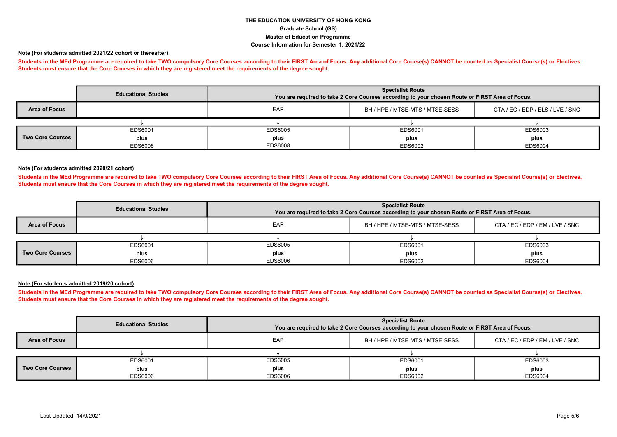# THE EDUCATION UNIVERSITY OF HONG KONG Graduate School (GS) Master of Education Programme Course Information for Semester 1, 2021/22

## Note (For students admitted 2021/22 cohort or thereafter)

Students in the MEd Programme are required to take TWO compulsory Core Courses according to their FIRST Area of Focus. Any additional Core Course(s) CANNOT be counted as Specialist Course(s) or Electives. Students must ensure that the Core Courses in which they are registered meet the requirements of the degree sought.

|                         | <b>Educational Studies</b> | <b>Specialist Route</b><br>You are required to take 2 Core Courses according to your chosen Route or FIRST Area of Focus. |                                 |                                  |  |
|-------------------------|----------------------------|---------------------------------------------------------------------------------------------------------------------------|---------------------------------|----------------------------------|--|
| Area of Focus           |                            | EAP                                                                                                                       | BH / HPE / MTSE-MTS / MTSE-SESS | CTA / EC / EDP / ELS / LVE / SNC |  |
|                         |                            |                                                                                                                           |                                 |                                  |  |
|                         | EDS6001                    | EDS6005                                                                                                                   | EDS6001                         | EDS6003                          |  |
| <b>Two Core Courses</b> | plus                       | plus                                                                                                                      | plus                            | plus                             |  |
|                         | <b>EDS6008</b>             | EDS6008                                                                                                                   | EDS6002                         | <b>EDS6004</b>                   |  |

#### Note (For students admitted 2020/21 cohort)

Students in the MEd Programme are required to take TWO compulsory Core Courses according to their FIRST Area of Focus. Any additional Core Course(s) CANNOT be counted as Specialist Course(s) or Electives. Students must ensure that the Core Courses in which they are registered meet the requirements of the degree sought.

|                         | <b>Specialist Route</b><br><b>Educational Studies</b><br>You are required to take 2 Core Courses according to your chosen Route or FIRST Area of Focus. |         |                                 |                                 |  |  |
|-------------------------|---------------------------------------------------------------------------------------------------------------------------------------------------------|---------|---------------------------------|---------------------------------|--|--|
| Area of Focus           |                                                                                                                                                         | EAP     | BH / HPE / MTSE-MTS / MTSE-SESS | CTA / EC / EDP / EM / LVE / SNC |  |  |
|                         |                                                                                                                                                         |         |                                 |                                 |  |  |
|                         | EDS6001                                                                                                                                                 | EDS6005 | EDS6001                         | EDS6003                         |  |  |
| <b>Two Core Courses</b> | plus                                                                                                                                                    | plus    | plus                            | plus                            |  |  |
|                         | EDS6006                                                                                                                                                 | EDS6006 | EDS6002                         | <b>EDS6004</b>                  |  |  |

#### Note (For students admitted 2019/20 cohort)

Students in the MEd Programme are required to take TWO compulsory Core Courses according to their FIRST Area of Focus. Any additional Core Course(s) CANNOT be counted as Specialist Course(s) or Electives. Students must ensure that the Core Courses in which they are registered meet the requirements of the degree sought.

|                         | <b>Educational Studies</b> |         | <b>Specialist Route</b><br>You are required to take 2 Core Courses according to your chosen Route or FIRST Area of Focus. |                                 |  |  |
|-------------------------|----------------------------|---------|---------------------------------------------------------------------------------------------------------------------------|---------------------------------|--|--|
| Area of Focus           |                            | EAP     | BH / HPE / MTSE-MTS / MTSE-SESS                                                                                           | CTA / EC / EDP / EM / LVE / SNC |  |  |
|                         |                            |         |                                                                                                                           |                                 |  |  |
|                         | EDS6001                    | EDS6005 | EDS6001                                                                                                                   | EDS6003                         |  |  |
| <b>Two Core Courses</b> | plus                       | plus    | plus                                                                                                                      | plus                            |  |  |
|                         | EDS6006                    | EDS6006 | EDS6002                                                                                                                   | <b>EDS6004</b>                  |  |  |